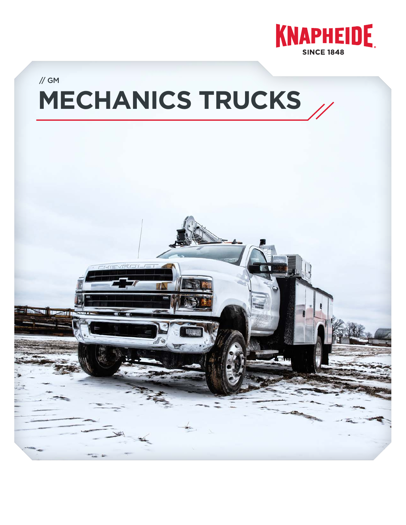

# **MECHANICS TRUCKS** // GM

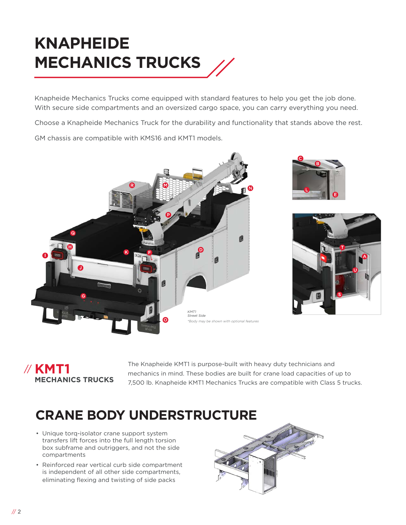# **KNAPHEIDE MECHANICS TRUCKS**

Knapheide Mechanics Trucks come equipped with standard features to help you get the job done. With secure side compartments and an oversized cargo space, you can carry everything you need.

Choose a Knapheide Mechanics Truck for the durability and functionality that stands above the rest.

GM chassis are compatible with KMS16 and KMT1 models.







#### **KMT1**  //**MECHANICS TRUCKS**

The Knapheide KMT1 is purpose-built with heavy duty technicians and mechanics in mind. These bodies are built for crane load capacities of up to 7,500 lb. Knapheide KMT1 Mechanics Trucks are compatible with Class 5 trucks.

### **CRANE BODY UNDERSTRUCTURE**

- Unique torq-isolator crane support system transfers lift forces into the full length torsion box subframe and outriggers, and not the side compartments
- Reinforced rear vertical curb side compartment is independent of all other side compartments, eliminating flexing and twisting of side packs

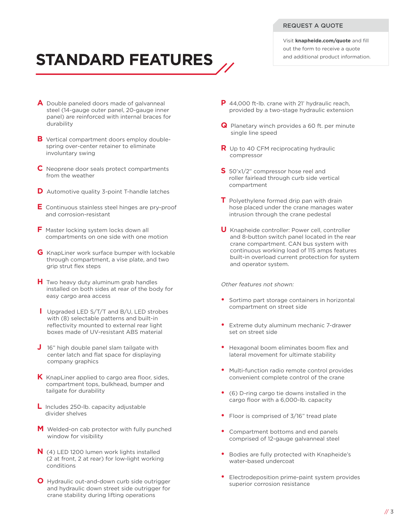#### REQUEST A QUOTE

Visit **knapheide.com/quote** and fill out the form to receive a quote and additional product information.

### **STANDARD FEATURES**

- **A** Double paneled doors made of galvanneal steel (14-gauge outer panel, 20-gauge inner panel) are reinforced with internal braces for durability
- **B** Vertical compartment doors employ doublespring over-center retainer to eliminate involuntary swing
- **C** Neoprene door seals protect compartments from the weather
- **D** Automotive quality 3-point T-handle latches
- **E** Continuous stainless steel hinges are pry-proof and corrosion-resistant
- **F** Master locking system locks down all compartments on one side with one motion
- **G** KnapLiner work surface bumper with lockable through compartment, a vise plate, and two grip strut flex steps
- **H** Two heavy duty aluminum grab handles installed on both sides at rear of the body for easy cargo area access
- **I** Upgraded LED S/T/T and B/U, LED strobes with (8) selectable patterns and built-in reflectivity mounted to external rear light boxes made of UV-resistant ABS material
- **J** 16" high double panel slam tailgate with center latch and flat space for displaying company graphics
- **K** KnapLiner applied to cargo area floor, sides, compartment tops, bulkhead, bumper and tailgate for durability
- **L** Includes 250-lb. capacity adjustable divider shelves
- **M** Welded-on cab protector with fully punched window for visibility
- **N** (4) LED 1200 lumen work lights installed (2 at front, 2 at rear) for low-light working conditions
- **O** Hydraulic out-and-down curb side outrigger and hydraulic down street side outrigger for crane stability during lifting operations
- **P** 44,000 ft-lb. crane with 21' hydraulic reach, provided by a two-stage hydraulic extension
- **Q** Planetary winch provides a 60 ft. per minute single line speed
- **R** Up to 40 CFM reciprocating hydraulic compressor
- **S** 50'x1/2" compressor hose reel and roller fairlead through curb side vertical compartment
- **T** Polyethylene formed drip pan with drain hose placed under the crane manages water intrusion through the crane pedestal
- **U** Knapheide controller: Power cell, controller and 8-button switch panel located in the rear crane compartment. CAN bus system with continuous working load of 115 amps features built-in overload current protection for system and operator system.

#### Other features not shown:

- Sortimo part storage containers in horizontal compartment on street side
- Extreme duty aluminum mechanic 7-drawer set on street side
- Hexagonal boom eliminates boom flex and lateral movement for ultimate stability
- Multi-function radio remote control provides convenient complete control of the crane
- (6) D-ring cargo tie downs installed in the cargo floor with a 6,000-lb. capacity
- Floor is comprised of 3/16" tread plate
- Compartment bottoms and end panels comprised of 12-gauge galvanneal steel
- Bodies are fully protected with Knapheide's water-based undercoat
- Electrodeposition prime-paint system provides superior corrosion resistance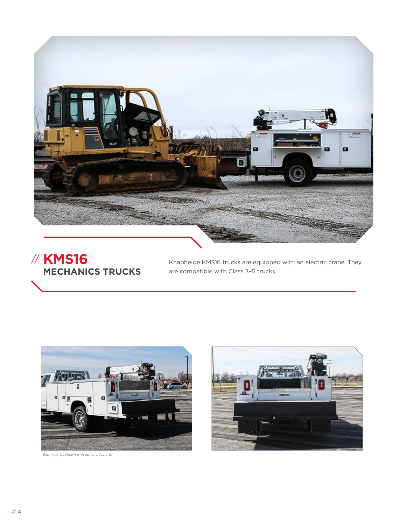

**KMS16**  // **MECHANICS TRUCKS**

Knapheide KMS16 trucks are equipped with an electric crane. They are compatible with Class 3–5 trucks.





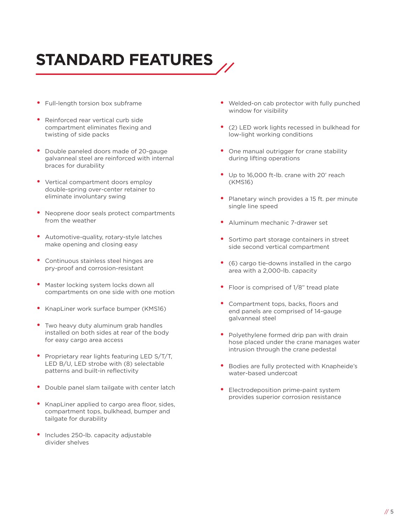# **STANDARD FEATURES**

- Full-length torsion box subframe
- Reinforced rear vertical curb side compartment eliminates flexing and twisting of side packs
- Double paneled doors made of 20-gauge galvanneal steel are reinforced with internal braces for durability
- Vertical compartment doors employ double-spring over-center retainer to eliminate involuntary swing
- Neoprene door seals protect compartments from the weather
- Automotive-quality, rotary-style latches make opening and closing easy
- Continuous stainless steel hinges are pry-proof and corrosion-resistant
- Master locking system locks down all compartments on one side with one motion
- KnapLiner work surface bumper (KMS16)
- Two heavy duty aluminum grab handles installed on both sides at rear of the body for easy cargo area access
- Proprietary rear lights featuring LED S/T/T, LED B/U, LED strobe with (8) selectable patterns and built-in reflectivity
- Double panel slam tailgate with center latch
- KnapLiner applied to cargo area floor, sides, compartment tops, bulkhead, bumper and tailgate for durability
- Includes 250-lb. capacity adjustable divider shelves
- Welded-on cab protector with fully punched window for visibility
- (2) LED work lights recessed in bulkhead for low-light working conditions
- One manual outrigger for crane stability during lifting operations
- Up to 16,000 ft-lb. crane with 20' reach (KMS16)
- Planetary winch provides a 15 ft. per minute single line speed
- Aluminum mechanic 7-drawer set
- Sortimo part storage containers in street side second vertical compartment
- (6) cargo tie-downs installed in the cargo area with a 2,000-lb. capacity
- Floor is comprised of 1/8" tread plate
- Compartment tops, backs, floors and end panels are comprised of 14-gauge galvanneal steel
- Polyethylene formed drip pan with drain hose placed under the crane manages water intrusion through the crane pedestal
- Bodies are fully protected with Knapheide's water-based undercoat
- Electrodeposition prime-paint system provides superior corrosion resistance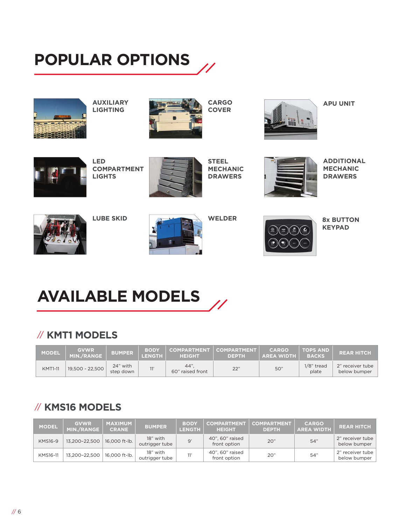# **POPULAR OPTIONS**



**AUXILIARY LIGHTING**



**CARGO COVER**



**APU UNIT**



**LED COMPARTMENT LIGHTS**



**STEEL MECHANIC DRAWERS**

**WELDER**



**ADDITIONAL MECHANIC DRAWERS**



**LUBE SKID**





**8x BUTTON KEYPAD**

# **AVAILABLE MODELS**

#### // **KMT1 MODELS**

| <b>MODEL</b>   | <b>GVWR</b><br>MIN./RANGE | <b>BUMPER</b>         | <b>BODY</b><br><b>LENGTH</b> | <b>HEIGHT</b>            | COMPARTMENT   COMPARTMENT   <br><b>DEPTH</b> | <b>CARGO</b><br><b>AREA WIDTH</b> | TOPS AND<br><b>BACKS</b> | <b>REAR HITCH</b>                |
|----------------|---------------------------|-----------------------|------------------------------|--------------------------|----------------------------------------------|-----------------------------------|--------------------------|----------------------------------|
| <b>KMT1-11</b> | 19,500 - 22,500           | 24" with<br>step down | 11'                          | 44".<br>60" raised front | 22"                                          | 50"                               | $1/8$ " tread<br>plate   | 2" receiver tube<br>below bumper |

#### // **KMS16 MODELS**

| <b>MODEL</b>   | <b>GVWR</b><br>MIN./RANGE | <b>MAXIMUM</b><br><b>CRANE</b> | <b>BUMPER</b>              | <b>BODY</b><br><b>LENGTH</b> | <b>COMPARTMENT</b><br><b>HEIGHT</b> | <b>COMPARTMENT</b><br><b>DEPTH</b> | <b>CARGO</b><br><b>AREA WIDTH</b> | <b>REAR HITCH</b>                |
|----------------|---------------------------|--------------------------------|----------------------------|------------------------------|-------------------------------------|------------------------------------|-----------------------------------|----------------------------------|
| <b>KMS16-9</b> | 13.200-22.500             | 16,000 ft-lb.                  | 18" with<br>outrigger tube | 9'                           | 40", 60" raised<br>front option     | 20"                                | 54"                               | 2" receiver tube<br>below bumper |
| KMS16-11       | 13,200-22,500             | 16,000 ft-lb.                  | 18" with<br>outrigger tube | 11'                          | 40", 60" raised<br>front option     | 20"                                | 54"                               | 2" receiver tube<br>below bumper |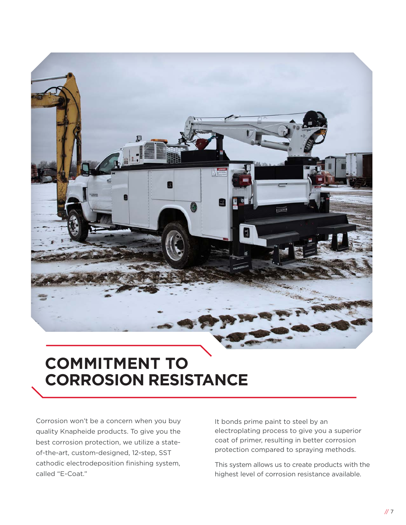

### **COMMITMENT TO CORROSION RESISTANCE**

Corrosion won't be a concern when you buy quality Knapheide products. To give you the best corrosion protection, we utilize a stateof-the-art, custom-designed, 12-step, SST cathodic electrodeposition finishing system, called "E-Coat."

It bonds prime paint to steel by an electroplating process to give you a superior coat of primer, resulting in better corrosion protection compared to spraying methods.

This system allows us to create products with the highest level of corrosion resistance available.